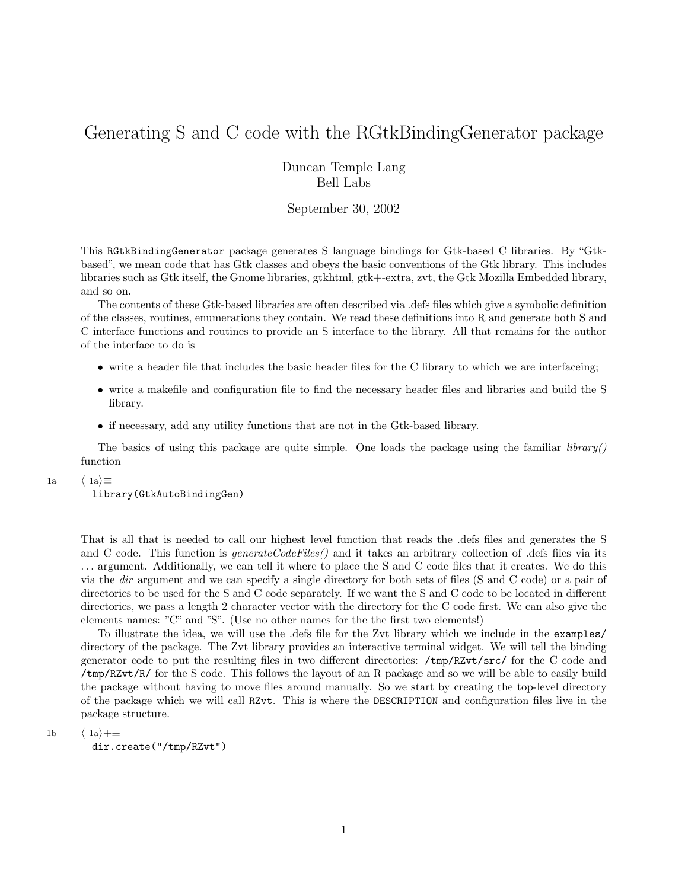## Generating S and C code with the RGtkBindingGenerator package

Duncan Temple Lang Bell Labs

## September 30, 2002

This RGtkBindingGenerator package generates S language bindings for Gtk-based C libraries. By "Gtkbased", we mean code that has Gtk classes and obeys the basic conventions of the Gtk library. This includes libraries such as Gtk itself, the Gnome libraries, gtkhtml, gtk+-extra, zvt, the Gtk Mozilla Embedded library, and so on.

The contents of these Gtk-based libraries are often described via .defs files which give a symbolic definition of the classes, routines, enumerations they contain. We read these definitions into R and generate both S and C interface functions and routines to provide an S interface to the library. All that remains for the author of the interface to do is

- write a header file that includes the basic header files for the C library to which we are interfaceing;
- write a makefile and configuration file to find the necessary header files and libraries and build the S library.
- if necessary, add any utility functions that are not in the Gtk-based library.

The basics of using this package are quite simple. One loads the package using the familiar  $\ell$ ibrary() function

1a  $\langle 1a \rangle \equiv$ 

## library(GtkAutoBindingGen)

That is all that is needed to call our highest level function that reads the .defs files and generates the S and C code. This function is *generateCodeFiles()* and it takes an arbitrary collection of .defs files via its . . . argument. Additionally, we can tell it where to place the S and C code files that it creates. We do this via the dir argument and we can specify a single directory for both sets of files (S and C code) or a pair of directories to be used for the S and C code separately. If we want the S and C code to be located in different directories, we pass a length 2 character vector with the directory for the C code first. We can also give the elements names: "C" and "S". (Use no other names for the the first two elements!)

To illustrate the idea, we will use the .defs file for the Zvt library which we include in the examples/ directory of the package. The Zvt library provides an interactive terminal widget. We will tell the binding generator code to put the resulting files in two different directories: /tmp/RZvt/src/ for the C code and /tmp/RZvt/R/ for the S code. This follows the layout of an R package and so we will be able to easily build the package without having to move files around manually. So we start by creating the top-level directory of the package which we will call RZvt. This is where the DESCRIPTION and configuration files live in the package structure.

1b  $\langle 1a \rangle + \equiv$ 

dir.create("/tmp/RZvt")